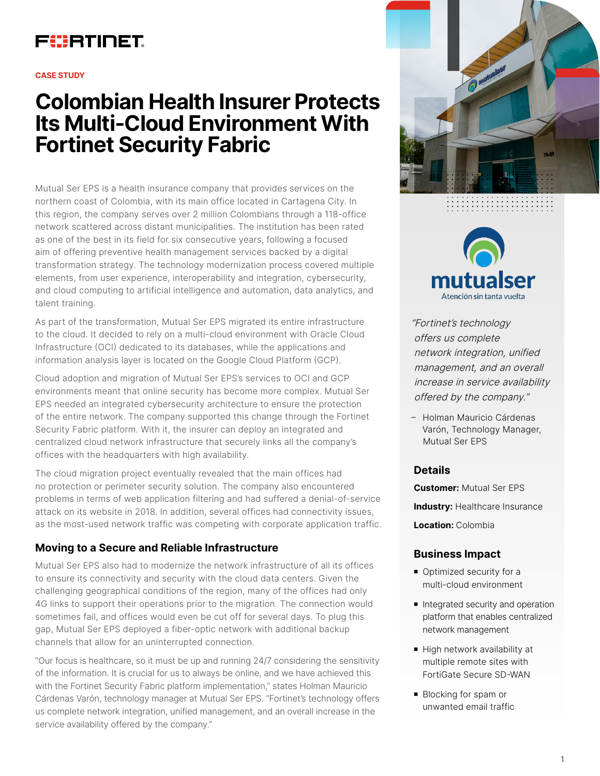## FURTINET

#### **CASE STUDY**

# **Colombian Health Insurer Protects Its Multi-Cloud Environment With Fortinet Security Fabric**

Mutual Ser EPS is a health insurance company that provides services on the northern coast of Colombia, with its main office located in Cartagena City. In this region, the company serves over 2 million Colombians through a 118-office network scattered across distant municipalities. The institution has been rated as one of the best in its field for six consecutive years, following a focused aim of offering preventive health management services backed by a digital transformation strategy. The technology modernization process covered multiple elements, from user experience, interoperability and integration, cybersecurity, and cloud computing to artificial intelligence and automation, data analytics, and talent training.

As part of the transformation, Mutual Ser EPS migrated its entire infrastructure to the cloud. It decided to rely on a multi-cloud environment with Oracle Cloud Infrastructure (OCI) dedicated to its databases, while the applications and information analysis layer is located on the Google Cloud Platform (GCP).

Cloud adoption and migration of Mutual Ser EPS's services to OCI and GCP environments meant that online security has become more complex. Mutual Ser EPS needed an integrated cybersecurity architecture to ensure the protection of the entire network. The company supported this change through the Fortinet Security Fabric platform. With it, the insurer can deploy an integrated and centralized cloud network infrastructure that securely links all the company's offices with the headquarters with high availability.

The cloud migration project eventually revealed that the main offices had no protection or perimeter security solution. The company also encountered problems in terms of web application filtering and had suffered a denial-of-service attack on its website in 2018. In addition, several offices had connectivity issues, as the most-used network traffic was competing with corporate application traffic.

## **Moving to a Secure and Reliable Infrastructure**

Mutual Ser EPS also had to modernize the network infrastructure of all its offices to ensure its connectivity and security with the cloud data centers. Given the challenging geographical conditions of the region, many of the offices had only 4G links to support their operations prior to the migration. The connection would sometimes fail, and offices would even be cut off for several days. To plug this gap, Mutual Ser EPS deployed a fiber-optic network with additional backup channels that allow for an uninterrupted connection.

"Our focus is healthcare, so it must be up and running 24/7 considering the sensitivity of the information. It is crucial for us to always be online, and we have achieved this with the Fortinet Security Fabric platform implementation," states Holman Mauricio Cárdenas Varón, technology manager at Mutual Ser EPS. "Fortinet's technology offers us complete network integration, unified management, and an overall increase in the service availability offered by the company."





"Fortinet's technology offers us complete network integration, unified management, and an overall increase in service availability offered by the company."

– Holman Mauricio Cárdenas Varón, Technology Manager, Mutual Ser EPS

#### **Details**

**Customer:** Mutual Ser EPS

**Industry: Healthcare Insurance** 

**Location:** Colombia

#### **Business Impact**

- Optimized security for a multi-cloud environment
- Integrated security and operation platform that enables centralized network management
- High network availability at multiple remote sites with FortiGate Secure SD-WAN
- Blocking for spam or unwanted email traffic